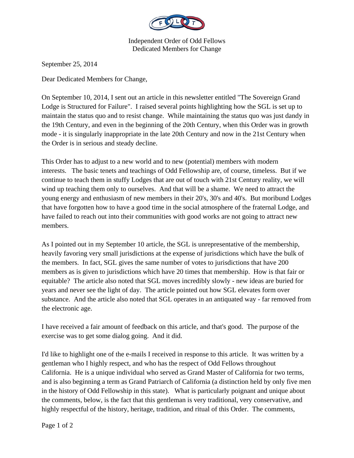

Independent Order of Odd Fellows Dedicated Members for Change

September 25, 2014

Dear Dedicated Members for Change,

On September 10, 2014, I sent out an article in this newsletter entitled "The Sovereign Grand Lodge is Structured for Failure". I raised several points highlighting how the SGL is set up to maintain the status quo and to resist change. While maintaining the status quo was just dandy in the 19th Century, and even in the beginning of the 20th Century, when this Order was in growth mode - it is singularly inappropriate in the late 20th Century and now in the 21st Century when the Order is in serious and steady decline.

This Order has to adjust to a new world and to new (potential) members with modern interests. The basic tenets and teachings of Odd Fellowship are, of course, timeless. But if we continue to teach them in stuffy Lodges that are out of touch with 21st Century reality, we will wind up teaching them only to ourselves. And that will be a shame. We need to attract the young energy and enthusiasm of new members in their 20's, 30's and 40's. But moribund Lodges that have forgotten how to have a good time in the social atmosphere of the fraternal Lodge, and have failed to reach out into their communities with good works are not going to attract new members.

As I pointed out in my September 10 article, the SGL is unrepresentative of the membership, heavily favoring very small jurisdictions at the expense of jurisdictions which have the bulk of the members. In fact, SGL gives the same number of votes to jurisdictions that have 200 members as is given to jurisdictions which have 20 times that membership. How is that fair or equitable? The article also noted that SGL moves incredibly slowly - new ideas are buried for years and never see the light of day. The article pointed out how SGL elevates form over substance. And the article also noted that SGL operates in an antiquated way - far removed from the electronic age.

I have received a fair amount of feedback on this article, and that's good. The purpose of the exercise was to get some dialog going. And it did.

I'd like to highlight one of the e-mails I received in response to this article. It was written by a gentleman who I highly respect, and who has the respect of Odd Fellows throughout California. He is a unique individual who served as Grand Master of California for two terms, and is also beginning a term as Grand Patriarch of California (a distinction held by only five men in the history of Odd Fellowship in this state). What is particularly poignant and unique about the comments, below, is the fact that this gentleman is very traditional, very conservative, and highly respectful of the history, heritage, tradition, and ritual of this Order. The comments,